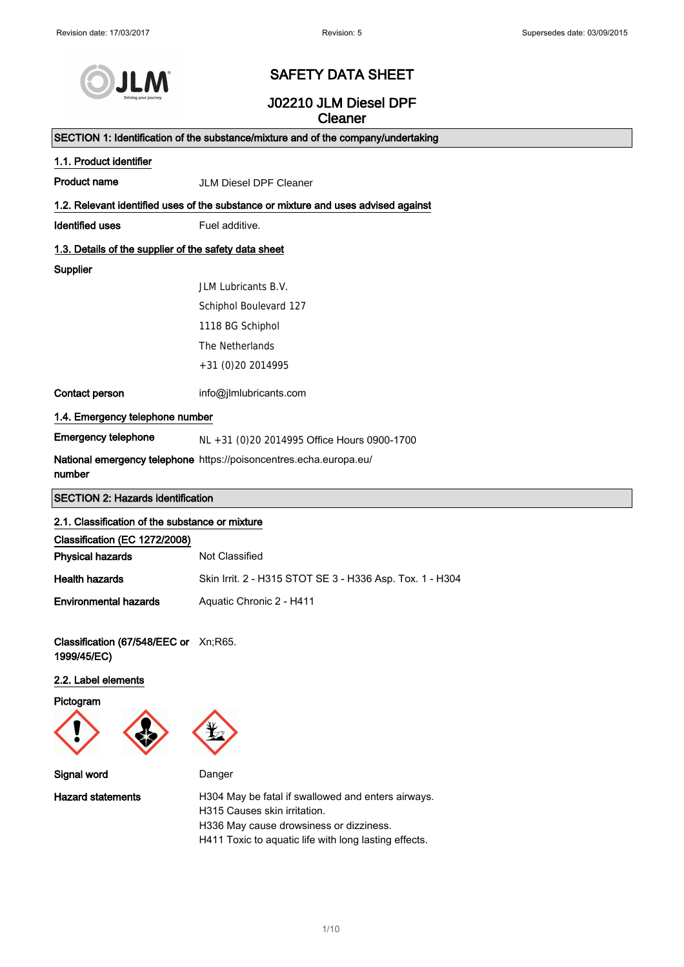

## SAFETY DATA SHEET

## J02210 JLM Diesel DPF **Cleaner**

SECTION 1: Identification of the substance/mixture and of the company/undertaking

|                                                                                    | $\sigma$ CCTION T. Identification of the substance/inixture and of the company/undertaking |  |  |
|------------------------------------------------------------------------------------|--------------------------------------------------------------------------------------------|--|--|
| 1.1. Product identifier                                                            |                                                                                            |  |  |
| <b>Product name</b>                                                                | <b>JLM Diesel DPF Cleaner</b>                                                              |  |  |
| 1.2. Relevant identified uses of the substance or mixture and uses advised against |                                                                                            |  |  |
| <b>Identified uses</b>                                                             | Fuel additive.                                                                             |  |  |
| 1.3. Details of the supplier of the safety data sheet                              |                                                                                            |  |  |
| Supplier                                                                           |                                                                                            |  |  |
|                                                                                    | JLM Lubricants B.V.                                                                        |  |  |
|                                                                                    | Schiphol Boulevard 127                                                                     |  |  |
|                                                                                    | 1118 BG Schiphol                                                                           |  |  |
|                                                                                    | The Netherlands                                                                            |  |  |
|                                                                                    | +31 (0) 20 20 14995                                                                        |  |  |
| Contact person                                                                     | info@jlmlubricants.com                                                                     |  |  |
| 1.4. Emergency telephone number                                                    |                                                                                            |  |  |
| <b>Emergency telephone</b>                                                         | NL +31 (0)20 2014995 Office Hours 0900-1700                                                |  |  |
| number                                                                             | National emergency telephone https://poisoncentres.echa.europa.eu/                         |  |  |
| <b>SECTION 2: Hazards identification</b>                                           |                                                                                            |  |  |
| 2.1. Classification of the substance or mixture                                    |                                                                                            |  |  |
| Classification (EC 1272/2008)                                                      |                                                                                            |  |  |
| <b>Physical hazards</b>                                                            | Not Classified                                                                             |  |  |
| <b>Health hazards</b>                                                              | Skin Irrit. 2 - H315 STOT SE 3 - H336 Asp. Tox. 1 - H304                                   |  |  |
| <b>Environmental hazards</b>                                                       | Aquatic Chronic 2 - H411                                                                   |  |  |
| Classification (67/548/EEC or Xn;R65.<br>1999/45/EC)                               |                                                                                            |  |  |
| 2.2. Label elements                                                                |                                                                                            |  |  |
| Pictogram                                                                          |                                                                                            |  |  |
|                                                                                    |                                                                                            |  |  |
| Signal word                                                                        | Danger                                                                                     |  |  |

Hazard statements **H304 May be fatal if swallowed and enters airways.** H315 Causes skin irritation. H336 May cause drowsiness or dizziness. H411 Toxic to aquatic life with long lasting effects.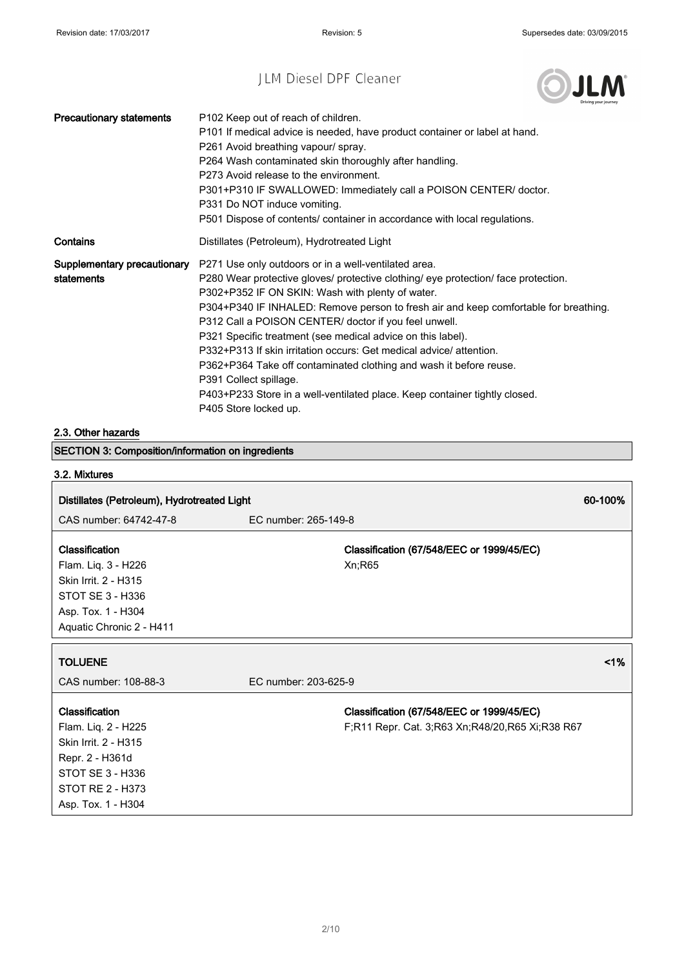

٦

| <b>Precautionary statements</b>           | P102 Keep out of reach of children.<br>P101 If medical advice is needed, have product container or label at hand.<br>P261 Avoid breathing vapour/ spray.<br>P264 Wash contaminated skin thoroughly after handling.<br>P273 Avoid release to the environment.<br>P301+P310 IF SWALLOWED: Immediately call a POISON CENTER/ doctor.<br>P331 Do NOT induce vomiting.<br>P501 Dispose of contents/ container in accordance with local regulations.                                                                                                                                                                                                                                               |
|-------------------------------------------|----------------------------------------------------------------------------------------------------------------------------------------------------------------------------------------------------------------------------------------------------------------------------------------------------------------------------------------------------------------------------------------------------------------------------------------------------------------------------------------------------------------------------------------------------------------------------------------------------------------------------------------------------------------------------------------------|
| Contains                                  | Distillates (Petroleum), Hydrotreated Light                                                                                                                                                                                                                                                                                                                                                                                                                                                                                                                                                                                                                                                  |
| Supplementary precautionary<br>statements | P271 Use only outdoors or in a well-ventilated area.<br>P280 Wear protective gloves/ protective clothing/ eye protection/ face protection.<br>P302+P352 IF ON SKIN: Wash with plenty of water.<br>P304+P340 IF INHALED: Remove person to fresh air and keep comfortable for breathing.<br>P312 Call a POISON CENTER/ doctor if you feel unwell.<br>P321 Specific treatment (see medical advice on this label).<br>P332+P313 If skin irritation occurs: Get medical advice/ attention.<br>P362+P364 Take off contaminated clothing and wash it before reuse.<br>P391 Collect spillage.<br>P403+P233 Store in a well-ventilated place. Keep container tightly closed.<br>P405 Store locked up. |

#### 2.3. Other hazards

SECTION 3: Composition/information on ingredients

# 3.2. Mixtures

| Distillates (Petroleum), Hydrotreated Light |                                                 |    |
|---------------------------------------------|-------------------------------------------------|----|
| CAS number: 64742-47-8                      | EC number: 265-149-8                            |    |
|                                             |                                                 |    |
| <b>Classification</b>                       | Classification (67/548/EEC or 1999/45/EC)       |    |
| Flam. Liq. 3 - H226                         | Xn;R65                                          |    |
| Skin Irrit. 2 - H315                        |                                                 |    |
| STOT SE 3 - H336                            |                                                 |    |
| Asp. Tox. 1 - H304                          |                                                 |    |
| Aquatic Chronic 2 - H411                    |                                                 |    |
| <b>TOLUENE</b>                              |                                                 | 1% |
| CAS number: 108-88-3                        | EC number: 203-625-9                            |    |
| Classification                              | Classification (67/548/EEC or 1999/45/EC)       |    |
| Flam. Liq. 2 - H225                         | F;R11 Repr. Cat. 3;R63 Xn;R48/20,R65 Xi;R38 R67 |    |
| Skin Irrit. 2 - H315                        |                                                 |    |
| Repr. 2 - H361d                             |                                                 |    |
| STOT SE 3 - H336                            |                                                 |    |
| STOT RE 2 - H373                            |                                                 |    |
| Asp. Tox. 1 - H304                          |                                                 |    |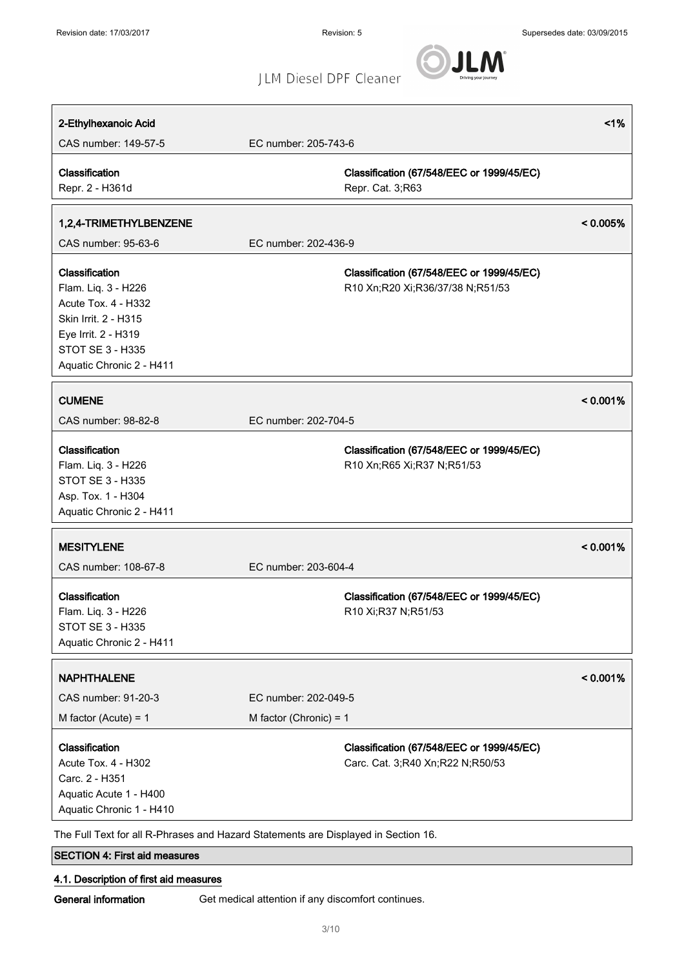JLM

## JLM Diesel DPF Cleaner

| 2-Ethylhexanoic Acid                       |                                                                                    | 1%       |
|--------------------------------------------|------------------------------------------------------------------------------------|----------|
| CAS number: 149-57-5                       | EC number: 205-743-6                                                               |          |
| Classification                             | Classification (67/548/EEC or 1999/45/EC)                                          |          |
| Repr. 2 - H361d                            | Repr. Cat. 3;R63                                                                   |          |
| 1,2,4-TRIMETHYLBENZENE                     |                                                                                    | < 0.005% |
| CAS number: 95-63-6                        | EC number: 202-436-9                                                               |          |
|                                            |                                                                                    |          |
| Classification                             | Classification (67/548/EEC or 1999/45/EC)                                          |          |
| Flam. Liq. 3 - H226<br>Acute Tox. 4 - H332 | R10 Xn;R20 Xi;R36/37/38 N;R51/53                                                   |          |
| Skin Irrit. 2 - H315                       |                                                                                    |          |
| Eye Irrit. 2 - H319                        |                                                                                    |          |
| STOT SE 3 - H335                           |                                                                                    |          |
| Aquatic Chronic 2 - H411                   |                                                                                    |          |
|                                            |                                                                                    |          |
| <b>CUMENE</b>                              |                                                                                    | < 0.001% |
| CAS number: 98-82-8                        | EC number: 202-704-5                                                               |          |
| Classification                             | Classification (67/548/EEC or 1999/45/EC)                                          |          |
| Flam. Liq. 3 - H226                        | R10 Xn; R65 Xi; R37 N; R51/53                                                      |          |
| <b>STOT SE 3 - H335</b>                    |                                                                                    |          |
| Asp. Tox. 1 - H304                         |                                                                                    |          |
| Aquatic Chronic 2 - H411                   |                                                                                    |          |
| <b>MESITYLENE</b>                          |                                                                                    | < 0.001% |
| CAS number: 108-67-8                       | EC number: 203-604-4                                                               |          |
|                                            |                                                                                    |          |
| Classification                             | Classification (67/548/EEC or 1999/45/EC)                                          |          |
| Flam. Liq. 3 - H226<br>STOT SE 3 - H335    | R10 Xi;R37 N;R51/53                                                                |          |
| Aquatic Chronic 2 - H411                   |                                                                                    |          |
|                                            |                                                                                    |          |
| <b>NAPHTHALENE</b>                         |                                                                                    | < 0.001% |
| CAS number: 91-20-3                        | EC number: 202-049-5                                                               |          |
| M factor (Acute) = $1$                     | M factor (Chronic) = $1$                                                           |          |
| Classification                             | Classification (67/548/EEC or 1999/45/EC)                                          |          |
| Acute Tox. 4 - H302                        | Carc. Cat. 3;R40 Xn;R22 N;R50/53                                                   |          |
| Carc. 2 - H351                             |                                                                                    |          |
| Aquatic Acute 1 - H400                     |                                                                                    |          |
| Aquatic Chronic 1 - H410                   |                                                                                    |          |
|                                            | The Full Text for all R-Phrases and Hazard Statements are Displayed in Section 16. |          |
|                                            |                                                                                    |          |

## SECTION 4: First aid measures

## 4.1. Description of first aid measures

General information Get medical attention if any discomfort continues.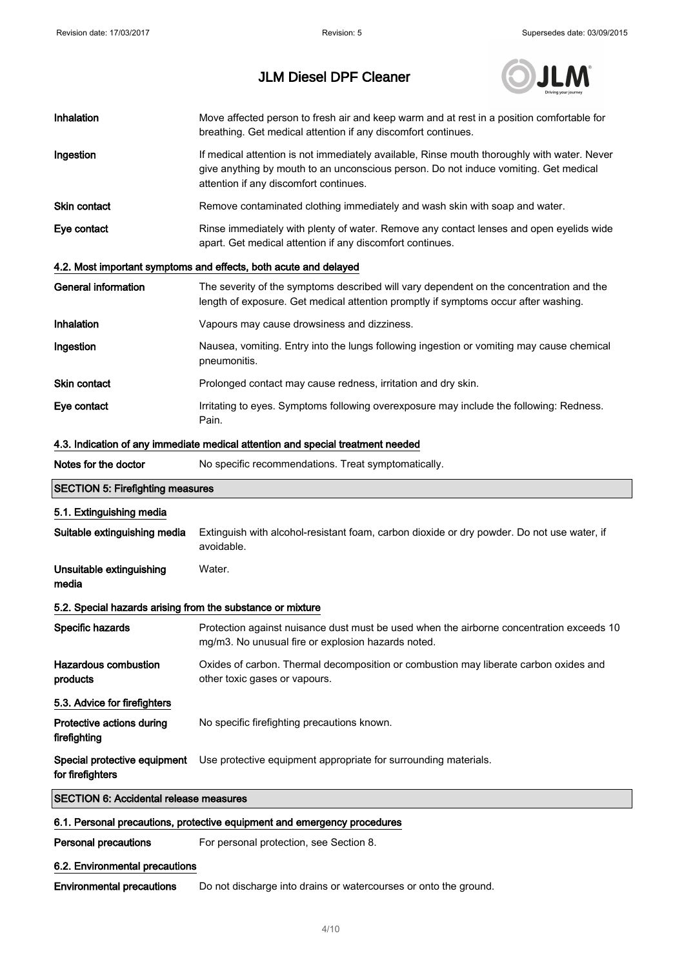

| Inhalation                                                                      | Move affected person to fresh air and keep warm and at rest in a position comfortable for<br>breathing. Get medical attention if any discomfort continues.                                                                    |  |  |
|---------------------------------------------------------------------------------|-------------------------------------------------------------------------------------------------------------------------------------------------------------------------------------------------------------------------------|--|--|
| Ingestion                                                                       | If medical attention is not immediately available, Rinse mouth thoroughly with water. Never<br>give anything by mouth to an unconscious person. Do not induce vomiting. Get medical<br>attention if any discomfort continues. |  |  |
| <b>Skin contact</b>                                                             | Remove contaminated clothing immediately and wash skin with soap and water.                                                                                                                                                   |  |  |
| Eye contact                                                                     | Rinse immediately with plenty of water. Remove any contact lenses and open eyelids wide<br>apart. Get medical attention if any discomfort continues.                                                                          |  |  |
|                                                                                 | 4.2. Most important symptoms and effects, both acute and delayed                                                                                                                                                              |  |  |
| <b>General information</b>                                                      | The severity of the symptoms described will vary dependent on the concentration and the<br>length of exposure. Get medical attention promptly if symptoms occur after washing.                                                |  |  |
| Inhalation                                                                      | Vapours may cause drowsiness and dizziness.                                                                                                                                                                                   |  |  |
| Ingestion                                                                       | Nausea, vomiting. Entry into the lungs following ingestion or vomiting may cause chemical<br>pneumonitis.                                                                                                                     |  |  |
| <b>Skin contact</b>                                                             | Prolonged contact may cause redness, irritation and dry skin.                                                                                                                                                                 |  |  |
| Eye contact                                                                     | Irritating to eyes. Symptoms following overexposure may include the following: Redness.<br>Pain.                                                                                                                              |  |  |
| 4.3. Indication of any immediate medical attention and special treatment needed |                                                                                                                                                                                                                               |  |  |
| Notes for the doctor                                                            | No specific recommendations. Treat symptomatically.                                                                                                                                                                           |  |  |
| <b>SECTION 5: Firefighting measures</b>                                         |                                                                                                                                                                                                                               |  |  |
| 5.1. Extinguishing media                                                        |                                                                                                                                                                                                                               |  |  |
| Suitable extinguishing media                                                    | Extinguish with alcohol-resistant foam, carbon dioxide or dry powder. Do not use water, if<br>avoidable.                                                                                                                      |  |  |
| Unsuitable extinguishing<br>media                                               | Water.                                                                                                                                                                                                                        |  |  |
| 5.2. Special hazards arising from the substance or mixture                      |                                                                                                                                                                                                                               |  |  |
| Specific hazards                                                                | Protection against nuisance dust must be used when the airborne concentration exceeds 10<br>mg/m3. No unusual fire or explosion hazards noted.                                                                                |  |  |
| <b>Hazardous combustion</b><br>products                                         | Oxides of carbon. Thermal decomposition or combustion may liberate carbon oxides and<br>other toxic gases or vapours.                                                                                                         |  |  |
| 5.3. Advice for firefighters                                                    |                                                                                                                                                                                                                               |  |  |
| Protective actions during<br>firefighting                                       | No specific firefighting precautions known.                                                                                                                                                                                   |  |  |
| Special protective equipment<br>for firefighters                                | Use protective equipment appropriate for surrounding materials.                                                                                                                                                               |  |  |
|                                                                                 | <b>SECTION 6: Accidental release measures</b>                                                                                                                                                                                 |  |  |

## 6.1. Personal precautions, protective equipment and emergency procedures

Personal precautions For personal protection, see Section 8.

### 6.2. Environmental precautions

Environmental precautions Do not discharge into drains or watercourses or onto the ground.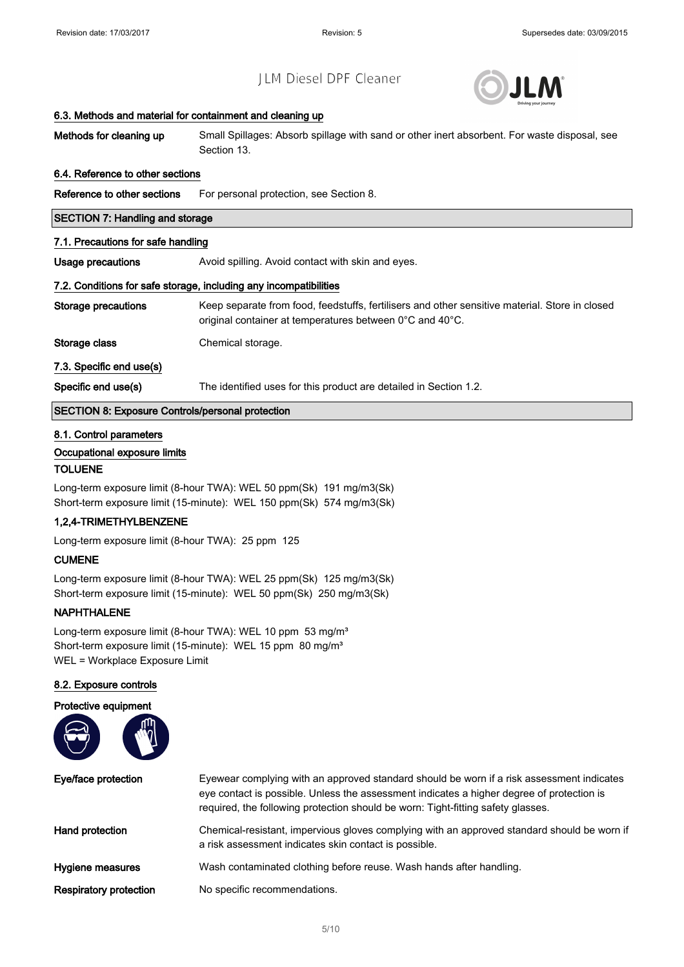

#### 6.3. Methods and material for containment and cleaning up

| Methods for cleaning up | Small Spillages: Absorb spillage with sand or other inert absorbent. For waste disposal, see |
|-------------------------|----------------------------------------------------------------------------------------------|
|                         | Section 13.                                                                                  |

#### 6.4. Reference to other sections

Reference to other sections For personal protection, see Section 8.

#### SECTION 7: Handling and storage

#### 7.1. Precautions for safe handling

Usage precautions **Avoid spilling.** Avoid contact with skin and eyes.

#### 7.2. Conditions for safe storage, including any incompatibilities

Storage precautions Keep separate from food, feedstuffs, fertilisers and other sensitive material. Store in closed original container at temperatures between 0°C and 40°C. Storage class Chemical storage.

#### 7.3. Specific end use(s)

Specific end use(s) The identified uses for this product are detailed in Section 1.2.

#### SECTION 8: Exposure Controls/personal protection

#### 8.1. Control parameters

#### Occupational exposure limits

#### TOLUENE

Long-term exposure limit (8-hour TWA): WEL 50 ppm(Sk) 191 mg/m3(Sk) Short-term exposure limit (15-minute): WEL 150 ppm(Sk) 574 mg/m3(Sk)

#### 1,2,4-TRIMETHYLBENZENE

Long-term exposure limit (8-hour TWA): 25 ppm 125

#### CUMENE

Long-term exposure limit (8-hour TWA): WEL 25 ppm(Sk) 125 mg/m3(Sk) Short-term exposure limit (15-minute): WEL 50 ppm(Sk) 250 mg/m3(Sk)

#### NAPHTHALENE

Long-term exposure limit (8-hour TWA): WEL 10 ppm 53 mg/m<sup>3</sup> Short-term exposure limit (15-minute): WEL 15 ppm 80 mg/m<sup>3</sup> WEL = Workplace Exposure Limit

#### 8.2. Exposure controls



Eye/face protection Eyewear complying with an approved standard should be worn if a risk assessment indicates eye contact is possible. Unless the assessment indicates a higher degree of protection is required, the following protection should be worn: Tight-fitting safety glasses. Hand protection **Chemical-resistant, impervious gloves complying with an approved standard should be worn if** a risk assessment indicates skin contact is possible. Hygiene measures Wash contaminated clothing before reuse. Wash hands after handling. Respiratory protection No specific recommendations.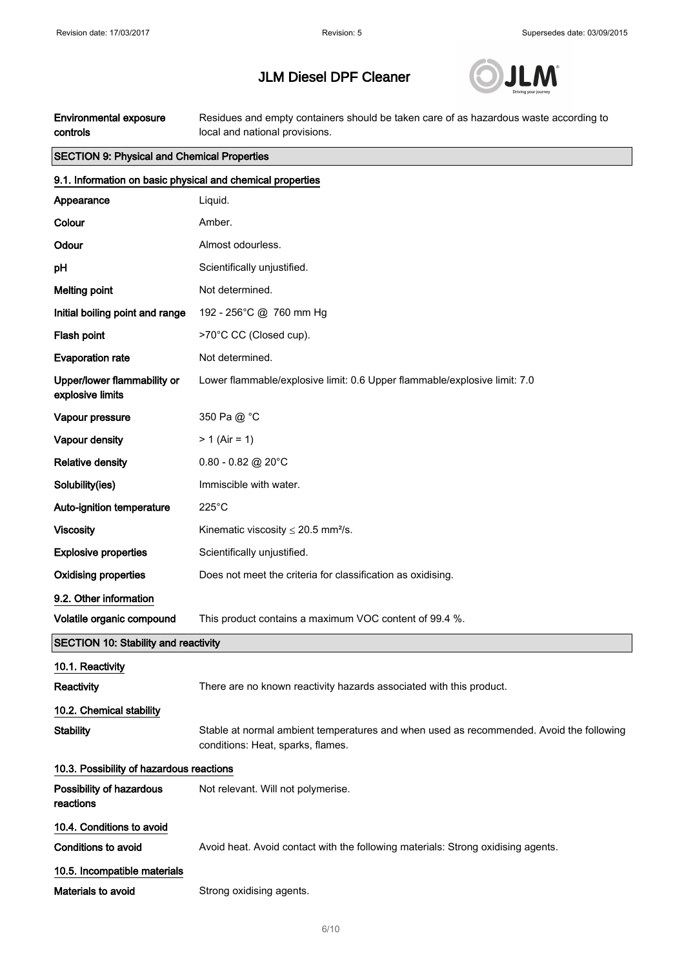

| <b>Environmental exposure</b><br>controls                  | Residues and empty containers should be taken care of as hazardous waste according to<br>local and national provisions.      |  |  |
|------------------------------------------------------------|------------------------------------------------------------------------------------------------------------------------------|--|--|
| <b>SECTION 9: Physical and Chemical Properties</b>         |                                                                                                                              |  |  |
| 9.1. Information on basic physical and chemical properties |                                                                                                                              |  |  |
| Appearance                                                 | Liquid.                                                                                                                      |  |  |
| Colour                                                     | Amber.                                                                                                                       |  |  |
| Odour                                                      | Almost odourless.                                                                                                            |  |  |
| рH                                                         | Scientifically unjustified.                                                                                                  |  |  |
| <b>Melting point</b>                                       | Not determined.                                                                                                              |  |  |
| Initial boiling point and range                            | 192 - 256°C @ 760 mm Hg                                                                                                      |  |  |
| Flash point                                                | >70°C CC (Closed cup).                                                                                                       |  |  |
| <b>Evaporation rate</b>                                    | Not determined.                                                                                                              |  |  |
| Upper/lower flammability or<br>explosive limits            | Lower flammable/explosive limit: 0.6 Upper flammable/explosive limit: 7.0                                                    |  |  |
| Vapour pressure                                            | 350 Pa @ °C                                                                                                                  |  |  |
| Vapour density                                             | $> 1$ (Air = 1)                                                                                                              |  |  |
| <b>Relative density</b>                                    | $0.80 - 0.82$ @ 20°C                                                                                                         |  |  |
| Solubility(ies)                                            | Immiscible with water.                                                                                                       |  |  |
| Auto-ignition temperature                                  | $225^{\circ}$ C                                                                                                              |  |  |
| <b>Viscosity</b>                                           | Kinematic viscosity $\leq$ 20.5 mm <sup>2</sup> /s.                                                                          |  |  |
| <b>Explosive properties</b>                                | Scientifically unjustified.                                                                                                  |  |  |
| <b>Oxidising properties</b>                                | Does not meet the criteria for classification as oxidising.                                                                  |  |  |
| 9.2. Other information                                     |                                                                                                                              |  |  |
| Volatile organic compound                                  | This product contains a maximum VOC content of 99.4 %.                                                                       |  |  |
| <b>SECTION 10: Stability and reactivity</b>                |                                                                                                                              |  |  |
| 10.1. Reactivity                                           |                                                                                                                              |  |  |
| Reactivity                                                 | There are no known reactivity hazards associated with this product.                                                          |  |  |
| 10.2. Chemical stability                                   |                                                                                                                              |  |  |
| <b>Stability</b>                                           | Stable at normal ambient temperatures and when used as recommended. Avoid the following<br>conditions: Heat, sparks, flames. |  |  |
| 10.3. Possibility of hazardous reactions                   |                                                                                                                              |  |  |
| Possibility of hazardous<br>reactions                      | Not relevant. Will not polymerise.                                                                                           |  |  |
| 10.4. Conditions to avoid                                  |                                                                                                                              |  |  |
| Conditions to avoid                                        | Avoid heat. Avoid contact with the following materials: Strong oxidising agents.                                             |  |  |
| 10.5. Incompatible materials                               |                                                                                                                              |  |  |
| Materials to avoid                                         | Strong oxidising agents.                                                                                                     |  |  |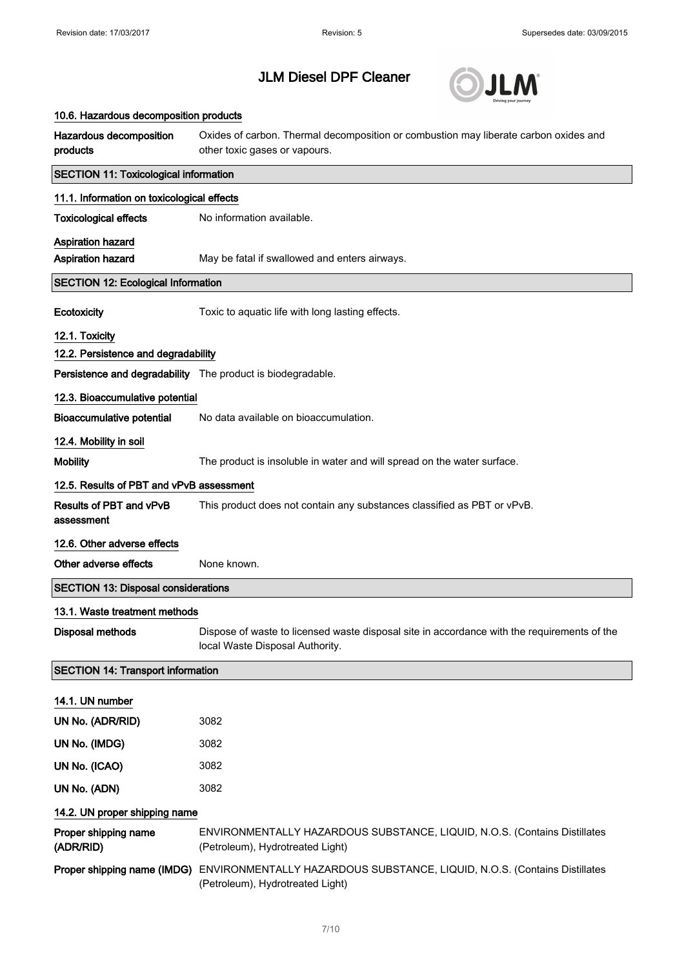

| 10.6. Hazardous decomposition products                      |                                                                                                                                |  |  |  |
|-------------------------------------------------------------|--------------------------------------------------------------------------------------------------------------------------------|--|--|--|
| Hazardous decomposition<br>products                         | Oxides of carbon. Thermal decomposition or combustion may liberate carbon oxides and<br>other toxic gases or vapours.          |  |  |  |
| <b>SECTION 11: Toxicological information</b>                |                                                                                                                                |  |  |  |
|                                                             | 11.1. Information on toxicological effects                                                                                     |  |  |  |
| <b>Toxicological effects</b>                                | No information available.                                                                                                      |  |  |  |
| <b>Aspiration hazard</b>                                    |                                                                                                                                |  |  |  |
| <b>Aspiration hazard</b>                                    | May be fatal if swallowed and enters airways.                                                                                  |  |  |  |
| <b>SECTION 12: Ecological Information</b>                   |                                                                                                                                |  |  |  |
| Ecotoxicity                                                 | Toxic to aquatic life with long lasting effects.                                                                               |  |  |  |
| 12.1. Toxicity                                              |                                                                                                                                |  |  |  |
| 12.2. Persistence and degradability                         |                                                                                                                                |  |  |  |
| Persistence and degradability The product is biodegradable. |                                                                                                                                |  |  |  |
| 12.3. Bioaccumulative potential                             |                                                                                                                                |  |  |  |
| <b>Bioaccumulative potential</b>                            | No data available on bioaccumulation.                                                                                          |  |  |  |
| 12.4. Mobility in soil                                      |                                                                                                                                |  |  |  |
| <b>Mobility</b>                                             | The product is insoluble in water and will spread on the water surface.                                                        |  |  |  |
| 12.5. Results of PBT and vPvB assessment                    |                                                                                                                                |  |  |  |
| <b>Results of PBT and vPvB</b><br>assessment                | This product does not contain any substances classified as PBT or vPvB.                                                        |  |  |  |
| 12.6. Other adverse effects                                 |                                                                                                                                |  |  |  |
| Other adverse effects                                       | None known.                                                                                                                    |  |  |  |
| <b>SECTION 13: Disposal considerations</b>                  |                                                                                                                                |  |  |  |
| 13.1. Waste treatment methods                               |                                                                                                                                |  |  |  |
| <b>Disposal methods</b>                                     | Dispose of waste to licensed waste disposal site in accordance with the requirements of the<br>local Waste Disposal Authority. |  |  |  |
| <b>SECTION 14: Transport information</b>                    |                                                                                                                                |  |  |  |
| 14.1. UN number                                             |                                                                                                                                |  |  |  |
| UN No. (ADR/RID)                                            | 3082                                                                                                                           |  |  |  |
| UN No. (IMDG)                                               | 3082                                                                                                                           |  |  |  |
| UN No. (ICAO)                                               | 3082                                                                                                                           |  |  |  |
| UN No. (ADN)                                                | 3082                                                                                                                           |  |  |  |
| 14.2. UN proper shipping name                               |                                                                                                                                |  |  |  |
| Proper shipping name<br>(ADR/RID)                           | ENVIRONMENTALLY HAZARDOUS SUBSTANCE, LIQUID, N.O.S. (Contains Distillates<br>(Petroleum), Hydrotreated Light)                  |  |  |  |
| Proper shipping name (IMDG)                                 | ENVIRONMENTALLY HAZARDOUS SUBSTANCE, LIQUID, N.O.S. (Contains Distillates<br>(Petroleum), Hydrotreated Light)                  |  |  |  |
|                                                             |                                                                                                                                |  |  |  |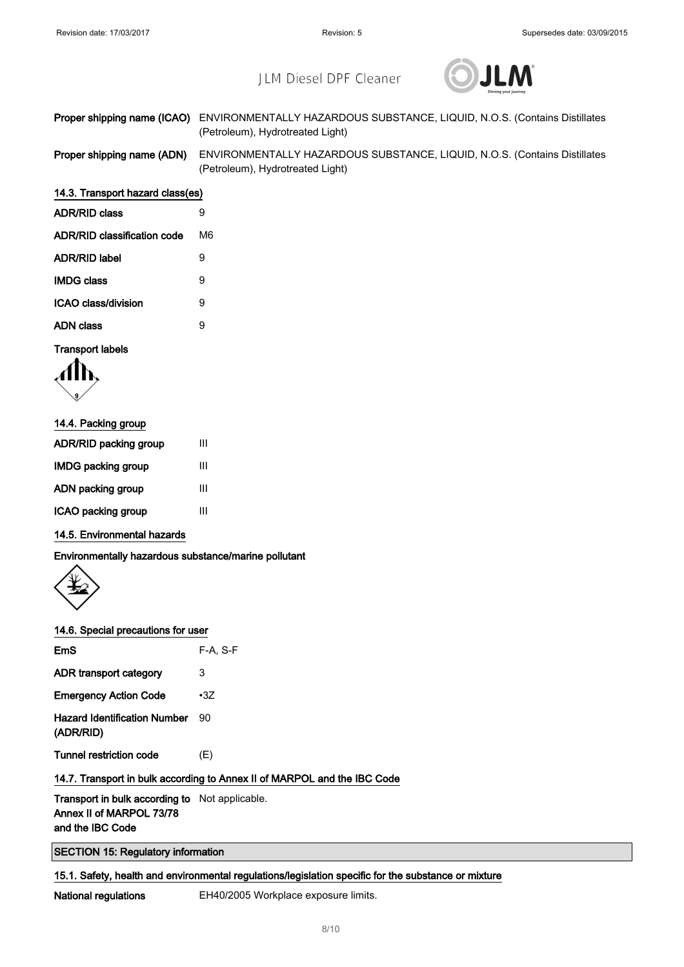

|                            | <b>Proper shipping name (ICAO)</b> ENVIRONMENTALLY HAZARDOUS SUBSTANCE, LIQUID, N.O.S. (Contains Distillates |
|----------------------------|--------------------------------------------------------------------------------------------------------------|
|                            | (Petroleum), Hydrotreated Light)                                                                             |
| Dropor obinning nomo (ADN) | $ENNIDOMIMENTAIIV UAZADDOIC CIDCTANICE LIOIID NOC (Contoino Dictillotoo)$                                    |

per shipping name (ADN) ENVIRONMENTALLY HAZARDOUS SUBSTANCE, LIQUID, N.O.S. (Contains Distillates (Petroleum), Hydrotreated Light)

| 14.3. Transport hazard class(es) |  |  |
|----------------------------------|--|--|
|                                  |  |  |

| <b>ADR/RID class</b>               | 9  |
|------------------------------------|----|
| <b>ADR/RID classification code</b> | M6 |
| ADR/RID label                      | 9  |
| <b>IMDG class</b>                  | Й  |
| ICAO class/division                | 9  |
| ADN class                          | g  |
|                                    |    |

#### Transport labels

$$
\langle \prod_{\mathbf{y}} \rangle
$$

| Ш |
|---|
| Ш |
| Ш |
| Ш |
|   |

### 14.5. Environmental hazards

Environmentally hazardous substance/marine pollutant



#### 14.6. Special precautions for user

| $F-A, S-F$ |
|------------|
| 3          |
| $\cdot$ 3Z |
| 90         |
| (E)        |
|            |

### 14.7. Transport in bulk according to Annex II of MARPOL and the IBC Code

Transport in bulk according to Not applicable. Annex II of MARPOL 73/78 and the IBC Code

SECTION 15: Regulatory information

15.1. Safety, health and environmental regulations/legislation specific for the substance or mixture

National regulations EH40/2005 Workplace exposure limits.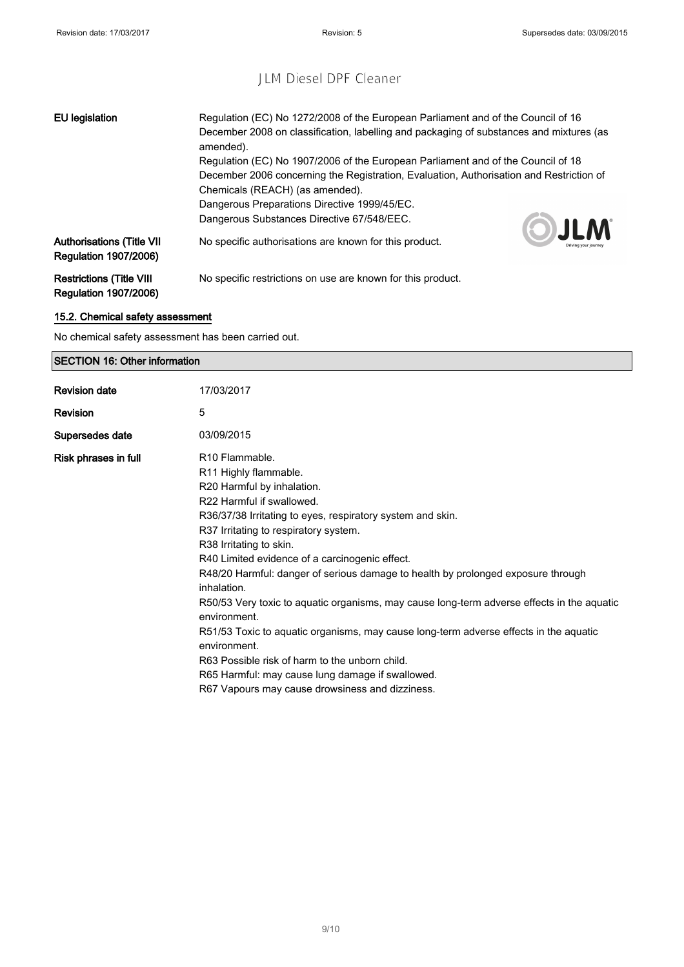| <b>EU</b> legislation                                            | Regulation (EC) No 1272/2008 of the European Parliament and of the Council of 16<br>December 2008 on classification, labelling and packaging of substances and mixtures (as<br>amended).                       |
|------------------------------------------------------------------|----------------------------------------------------------------------------------------------------------------------------------------------------------------------------------------------------------------|
|                                                                  | Regulation (EC) No 1907/2006 of the European Parliament and of the Council of 18<br>December 2006 concerning the Registration, Evaluation, Authorisation and Restriction of<br>Chemicals (REACH) (as amended). |
|                                                                  | Dangerous Preparations Directive 1999/45/EC.<br>Dangerous Substances Directive 67/548/EEC.<br>OJLM                                                                                                             |
| <b>Authorisations (Title VII</b><br><b>Regulation 1907/2006)</b> | No specific authorisations are known for this product.                                                                                                                                                         |
| <b>Restrictions (Title VIII</b><br><b>Regulation 1907/2006)</b>  | No specific restrictions on use are known for this product.                                                                                                                                                    |

## 15.2. Chemical safety assessment

No chemical safety assessment has been carried out.

## SECTION 16: Other information

| <b>Revision date</b> | 17/03/2017                                                                                                                                                                                                                                                                                                                                                                                                                                                                                                                                                                                                                                                                                                                                                                            |
|----------------------|---------------------------------------------------------------------------------------------------------------------------------------------------------------------------------------------------------------------------------------------------------------------------------------------------------------------------------------------------------------------------------------------------------------------------------------------------------------------------------------------------------------------------------------------------------------------------------------------------------------------------------------------------------------------------------------------------------------------------------------------------------------------------------------|
| Revision             | 5                                                                                                                                                                                                                                                                                                                                                                                                                                                                                                                                                                                                                                                                                                                                                                                     |
| Supersedes date      | 03/09/2015                                                                                                                                                                                                                                                                                                                                                                                                                                                                                                                                                                                                                                                                                                                                                                            |
| Risk phrases in full | R <sub>10</sub> Flammable.<br>R11 Highly flammable.<br>R20 Harmful by inhalation.<br>R22 Harmful if swallowed.<br>R36/37/38 Irritating to eyes, respiratory system and skin.<br>R37 Irritating to respiratory system.<br>R38 Irritating to skin.<br>R40 Limited evidence of a carcinogenic effect.<br>R48/20 Harmful: danger of serious damage to health by prolonged exposure through<br>inhalation.<br>R50/53 Very toxic to aquatic organisms, may cause long-term adverse effects in the aquatic<br>environment.<br>R51/53 Toxic to aguatic organisms, may cause long-term adverse effects in the aguatic<br>environment.<br>R63 Possible risk of harm to the unborn child.<br>R65 Harmful: may cause lung damage if swallowed.<br>R67 Vapours may cause drowsiness and dizziness. |